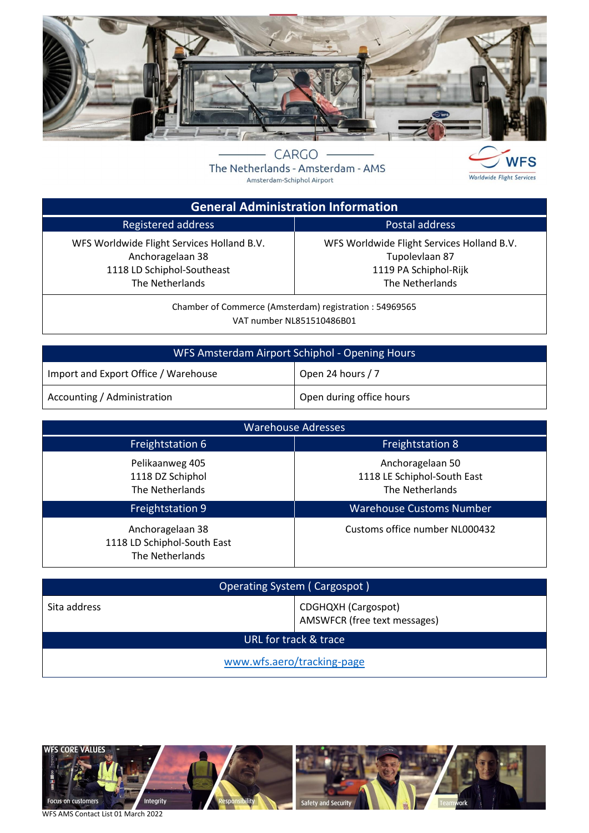

CARGO The Netherlands - Amsterdam - AMS Amsterdam-Schiphol Airport



 $\overline{\phantom{a}}$ 

| <b>General Administration Information</b>                                                                       |                                                                                                          |  |
|-----------------------------------------------------------------------------------------------------------------|----------------------------------------------------------------------------------------------------------|--|
| Registered address                                                                                              | Postal address                                                                                           |  |
| WFS Worldwide Flight Services Holland B.V.<br>Anchoragelaan 38<br>1118 LD Schiphol-Southeast<br>The Netherlands | WFS Worldwide Flight Services Holland B.V.<br>Tupolevlaan 87<br>1119 PA Schiphol-Rijk<br>The Netherlands |  |

Chamber of Commerce (Amsterdam) registration : 54969565 VAT number NL851510486B01

| WFS Amsterdam Airport Schiphol - Opening Hours |                          |  |
|------------------------------------------------|--------------------------|--|
| Import and Export Office / Warehouse           | Open 24 hours / 7        |  |
| Accounting / Administration                    | Open during office hours |  |

| <b>Warehouse Adresses</b>                                          |                                                                    |  |  |
|--------------------------------------------------------------------|--------------------------------------------------------------------|--|--|
| <b>Freightstation 6</b>                                            | <b>Freightstation 8</b>                                            |  |  |
| Pelikaanweg 405<br>1118 DZ Schiphol<br>The Netherlands             | Anchoragelaan 50<br>1118 LE Schiphol-South East<br>The Netherlands |  |  |
| Freightstation 9                                                   | <b>Warehouse Customs Number</b>                                    |  |  |
| Anchoragelaan 38<br>1118 LD Schiphol-South East<br>The Netherlands | Customs office number NL000432                                     |  |  |

| Operating System (Cargospot) |                                                     |  |
|------------------------------|-----------------------------------------------------|--|
| Sita address                 | CDGHQXH (Cargospot)<br>AMSWFCR (free text messages) |  |
| URL for track & trace        |                                                     |  |
| www.wfs.aero/tracking-page   |                                                     |  |



WFS AMS Contact List 01 March 2022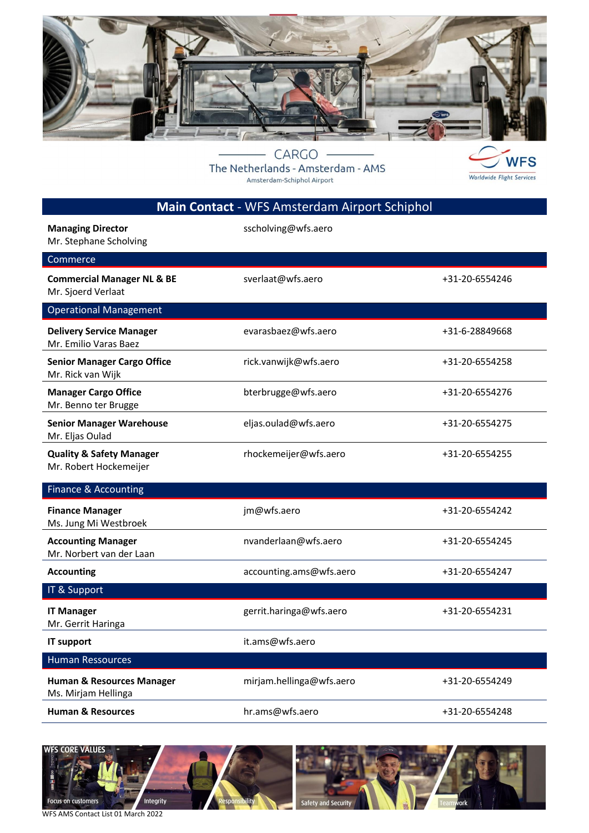

CARGO The Netherlands - Amsterdam - AMS Amsterdam-Schiphol Airport



|                                                               | Main Contact - WFS Amsterdam Airport Schiphol |                |
|---------------------------------------------------------------|-----------------------------------------------|----------------|
| <b>Managing Director</b><br>Mr. Stephane Scholving            | sscholving@wfs.aero                           |                |
| Commerce                                                      |                                               |                |
| <b>Commercial Manager NL &amp; BE</b><br>Mr. Sjoerd Verlaat   | sverlaat@wfs.aero                             | +31-20-6554246 |
| <b>Operational Management</b>                                 |                                               |                |
| <b>Delivery Service Manager</b><br>Mr. Emilio Varas Baez      | evarasbaez@wfs.aero                           | +31-6-28849668 |
| <b>Senior Manager Cargo Office</b><br>Mr. Rick van Wijk       | rick.vanwijk@wfs.aero                         | +31-20-6554258 |
| <b>Manager Cargo Office</b><br>Mr. Benno ter Brugge           | bterbrugge@wfs.aero                           | +31-20-6554276 |
| <b>Senior Manager Warehouse</b><br>Mr. Eljas Oulad            | eljas.oulad@wfs.aero                          | +31-20-6554275 |
| <b>Quality &amp; Safety Manager</b><br>Mr. Robert Hockemeijer | rhockemeijer@wfs.aero                         | +31-20-6554255 |
| Finance & Accounting                                          |                                               |                |
| <b>Finance Manager</b><br>Ms. Jung Mi Westbroek               | jm@wfs.aero                                   | +31-20-6554242 |
| <b>Accounting Manager</b><br>Mr. Norbert van der Laan         | nvanderlaan@wfs.aero                          | +31-20-6554245 |
| <b>Accounting</b>                                             | accounting.ams@wfs.aero                       | +31-20-6554247 |
| IT & Support                                                  |                                               |                |
| <b>IT Manager</b><br>Mr. Gerrit Haringa                       | gerrit.haringa@wfs.aero                       | +31-20-6554231 |
| IT support                                                    | it.ams@wfs.aero                               |                |
| <b>Human Ressources</b>                                       |                                               |                |
| <b>Human &amp; Resources Manager</b><br>Ms. Mirjam Hellinga   | mirjam.hellinga@wfs.aero                      | +31-20-6554249 |
| <b>Human &amp; Resources</b>                                  | hr.ams@wfs.aero                               | +31-20-6554248 |



WFS AMS Contact List 01 March 2022